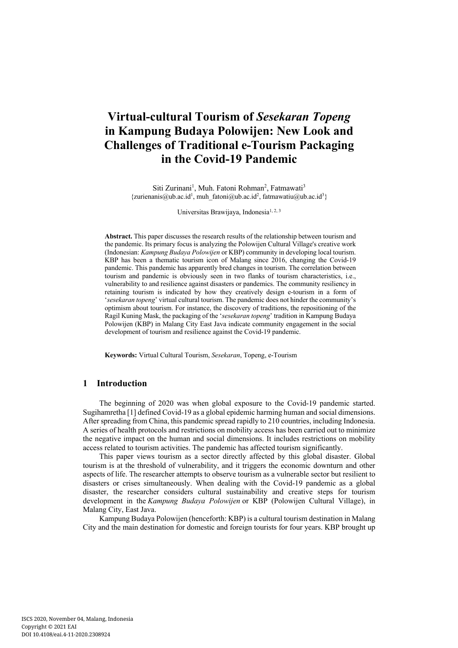# **Virtual-cultural Tourism of** *Sesekaran Topeng* **in Kampung Budaya Polowijen: New Look and Challenges of Traditional e-Tourism Packaging in the Covid-19 Pandemic**

Siti Zurinani<sup>1</sup>, Muh. Fatoni Rohman<sup>2</sup>, Fatmawati<sup>3</sup>  ${z}$ urienanis@ub.ac.id<sup>1</sup>, muh fatoni@ub.ac.id<sup>2</sup>, fatmawatiu@ub.ac.id<sup>3</sup>}

Universitas Brawijaya, Indonesia<sup>1, 2, 3</sup>

**Abstract.** This paper discusses the research results of the relationship between tourism and the pandemic. Its primary focus is analyzing the Polowijen Cultural Village's creative work (Indonesian: *Kampung Budaya Polowijen* or KBP) community in developing local tourism. KBP has been a thematic tourism icon of Malang since 2016, changing the Covid-19 pandemic. This pandemic has apparently bred changes in tourism. The correlation between tourism and pandemic is obviously seen in two flanks of tourism characteristics, i.e., vulnerability to and resilience against disasters or pandemics. The community resiliency in retaining tourism is indicated by how they creatively design e-tourism in a form of '*sesekaran topeng*' virtual cultural tourism. The pandemic does not hinder the community's optimism about tourism. For instance, the discovery of traditions, the repositioning of the Ragil Kuning Mask, the packaging of the '*sesekaran topeng*' tradition in Kampung Budaya Polowijen (KBP) in Malang City East Java indicate community engagement in the social development of tourism and resilience against the Covid-19 pandemic.

**Keywords:** Virtual Cultural Tourism, *Sesekaran*, Topeng, e-Tourism

# **1 Introduction**

The beginning of 2020 was when global exposure to the Covid-19 pandemic started. Sugihamretha [1] defined Covid-19 as a global epidemic harming human and social dimensions. After spreading from China, this pandemic spread rapidly to 210 countries, including Indonesia. A series of health protocols and restrictions on mobility access has been carried out to minimize the negative impact on the human and social dimensions. It includes restrictions on mobility access related to tourism activities. The pandemic has affected tourism significantly.

This paper views tourism as a sector directly affected by this global disaster. Global tourism is at the threshold of vulnerability, and it triggers the economic downturn and other aspects of life. The researcher attempts to observe tourism as a vulnerable sector but resilient to disasters or crises simultaneously. When dealing with the Covid-19 pandemic as a global disaster, the researcher considers cultural sustainability and creative steps for tourism development in the *Kampung Budaya Polowijen* or KBP (Polowijen Cultural Village), in Malang City, East Java.

Kampung Budaya Polowijen (henceforth: KBP) is a cultural tourism destination in Malang City and the main destination for domestic and foreign tourists for four years. KBP brought up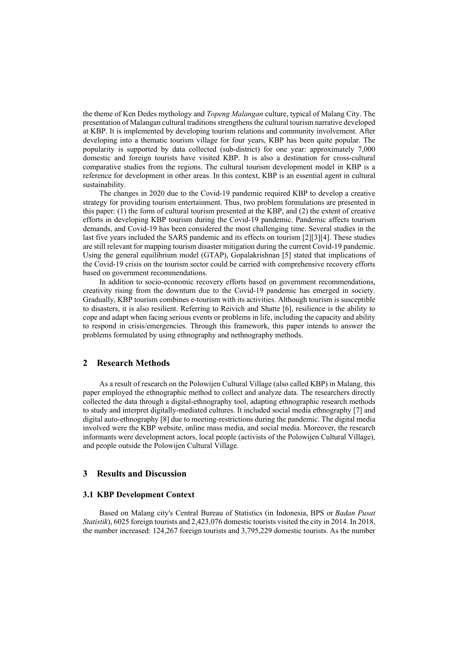the theme of Ken Dedes mythology and *Topeng Malangan* culture, typical of Malang City. The presentation of Malangan cultural traditions strengthens the cultural tourism narrative developed at KBP. It is implemented by developing tourism relations and community involvement. After developing into a thematic tourism village for four years, KBP has been quite popular. The popularity is supported by data collected (sub-district) for one year: approximately 7,000 domestic and foreign tourists have visited KBP. It is also a destination for cross-cultural comparative studies from the regions. The cultural tourism development model in KBP is a reference for development in other areas. In this context, KBP is an essential agent in cultural sustainability.

The changes in 2020 due to the Covid-19 pandemic required KBP to develop a creative strategy for providing tourism entertainment. Thus, two problem formulations are presented in this paper: (1) the form of cultural tourism presented at the KBP, and (2) the extent of creative efforts in developing KBP tourism during the Covid-19 pandemic. Pandemic affects tourism demands, and Covid-19 has been considered the most challenging time. Several studies in the last five years included the SARS pandemic and its effects on tourism [2][3][4]. These studies are still relevant for mapping tourism disaster mitigation during the current Covid-19 pandemic. Using the general equilibrium model (GTAP), Gopalakrishnan [5] stated that implications of the Covid-19 crisis on the tourism sector could be carried with comprehensive recovery efforts based on government recommendations.

In addition to socio-economic recovery efforts based on government recommendations, creativity rising from the downturn due to the Covid-19 pandemic has emerged in society. Gradually, KBP tourism combines e-tourism with its activities. Although tourism is susceptible to disasters, it is also resilient. Referring to Reivich and Shatte [6], resilience is the ability to cope and adapt when facing serious events or problems in life, including the capacity and ability to respond in crisis/emergencies. Through this framework, this paper intends to answer the problems formulated by using ethnography and nethnography methods.

## **2 Research Methods**

As a result of research on the Polowijen Cultural Village (also called KBP) in Malang, this paper employed the ethnographic method to collect and analyze data. The researchers directly collected the data through a digital-ethnography tool, adapting ethnographic research methods to study and interpret digitally-mediated cultures. It included social media ethnography [7] and digital auto-ethnography [8] due to meeting-restrictions during the pandemic. The digital media involved were the KBP website, online mass media, and social media. Moreover, the research informants were development actors, local people (activists of the Polowijen Cultural Village), and people outside the Polowijen Cultural Village.

### **3 Results and Discussion**

#### **3.1 KBP Development Context**

Based on Malang city's Central Bureau of Statistics (in Indonesia, BPS or *Badan Pusat Statistik*), 6025 foreign tourists and 2,423,076 domestic tourists visited the city in 2014. In 2018, the number increased: 124,267 foreign tourists and 3,795,229 domestic tourists. As the number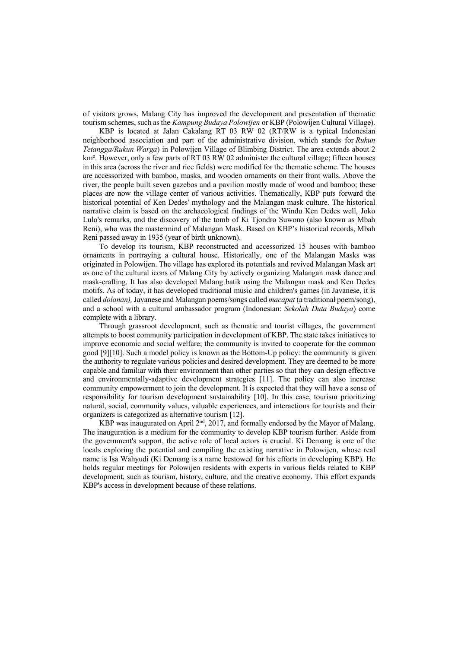of visitors grows, Malang City has improved the development and presentation of thematic tourism schemes, such as the *Kampung Budaya Polowijen* or KBP (Polowijen Cultural Village).

KBP is located at Jalan Cakalang RT 03 RW 02 (RT/RW is a typical Indonesian neighborhood association and part of the administrative division, which stands for *Rukun Tetangga/Rukun Warga*) in Polowijen Village of Blimbing District. The area extends about 2 km<sup>2</sup>. However, only a few parts of RT 03 RW 02 administer the cultural village; fifteen houses in this area (across the river and rice fields) were modified for the thematic scheme. The houses are accessorized with bamboo, masks, and wooden ornaments on their front walls. Above the river, the people built seven gazebos and a pavilion mostly made of wood and bamboo; these places are now the village center of various activities. Thematically, KBP puts forward the historical potential of Ken Dedes' mythology and the Malangan mask culture. The historical narrative claim is based on the archaeological findings of the Windu Ken Dedes well, Joko Lulo's remarks, and the discovery of the tomb of Ki Tjondro Suwono (also known as Mbah Reni), who was the mastermind of Malangan Mask. Based on KBP's historical records, Mbah Reni passed away in 1935 (year of birth unknown).

To develop its tourism, KBP reconstructed and accessorized 15 houses with bamboo ornaments in portraying a cultural house. Historically, one of the Malangan Masks was originated in Polowijen. The village has explored its potentials and revived Malangan Mask art as one of the cultural icons of Malang City by actively organizing Malangan mask dance and mask-crafting. It has also developed Malang batik using the Malangan mask and Ken Dedes motifs. As of today, it has developed traditional music and children's games (in Javanese, it is called *dolanan),*Javanese and Malangan poems/songs called *macapat* (a traditional poem/song), and a school with a cultural ambassador program (Indonesian: *Sekolah Duta Budaya*) come complete with a library.

Through grassroot development, such as thematic and tourist villages, the government attempts to boost community participation in development of KBP. The state takes initiatives to improve economic and social welfare; the community is invited to cooperate for the common good [9][10]. Such a model policy is known as the Bottom-Up policy: the community is given the authority to regulate various policies and desired development. They are deemed to be more capable and familiar with their environment than other parties so that they can design effective and environmentally-adaptive development strategies [11]. The policy can also increase community empowerment to join the development. It is expected that they will have a sense of responsibility for tourism development sustainability [10]. In this case, tourism prioritizing natural, social, community values, valuable experiences, and interactions for tourists and their organizers is categorized as alternative tourism [12].

KBP was inaugurated on April 2<sup>nd</sup>, 2017, and formally endorsed by the Mayor of Malang. The inauguration is a medium for the community to develop KBP tourism further. Aside from the government's support, the active role of local actors is crucial. Ki Demang is one of the locals exploring the potential and compiling the existing narrative in Polowijen, whose real name is Isa Wahyudi (Ki Demang is a name bestowed for his efforts in developing KBP). He holds regular meetings for Polowijen residents with experts in various fields related to KBP development, such as tourism, history, culture, and the creative economy. This effort expands KBP's access in development because of these relations.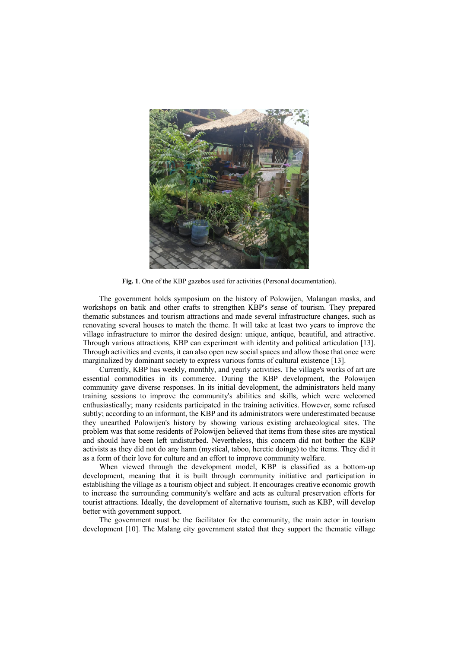

**Fig. 1**. One of the KBP gazebos used for activities (Personal documentation).

The government holds symposium on the history of Polowijen, Malangan masks, and workshops on batik and other crafts to strengthen KBP's sense of tourism. They prepared thematic substances and tourism attractions and made several infrastructure changes, such as renovating several houses to match the theme. It will take at least two years to improve the village infrastructure to mirror the desired design: unique, antique, beautiful, and attractive. Through various attractions, KBP can experiment with identity and political articulation [13]. Through activities and events, it can also open new social spaces and allow those that once were marginalized by dominant society to express various forms of cultural existence [13].

Currently, KBP has weekly, monthly, and yearly activities. The village's works of art are essential commodities in its commerce. During the KBP development, the Polowijen community gave diverse responses. In its initial development, the administrators held many training sessions to improve the community's abilities and skills, which were welcomed enthusiastically; many residents participated in the training activities. However, some refused subtly; according to an informant, the KBP and its administrators were underestimated because they unearthed Polowijen's history by showing various existing archaeological sites. The problem was that some residents of Polowijen believed that items from these sites are mystical and should have been left undisturbed. Nevertheless, this concern did not bother the KBP activists as they did not do any harm (mystical, taboo, heretic doings) to the items. They did it as a form of their love for culture and an effort to improve community welfare.

When viewed through the development model, KBP is classified as a bottom-up development, meaning that it is built through community initiative and participation in establishing the village as a tourism object and subject. It encourages creative economic growth to increase the surrounding community's welfare and acts as cultural preservation efforts for tourist attractions. Ideally, the development of alternative tourism, such as KBP, will develop better with government support.

The government must be the facilitator for the community, the main actor in tourism development [10]. The Malang city government stated that they support the thematic village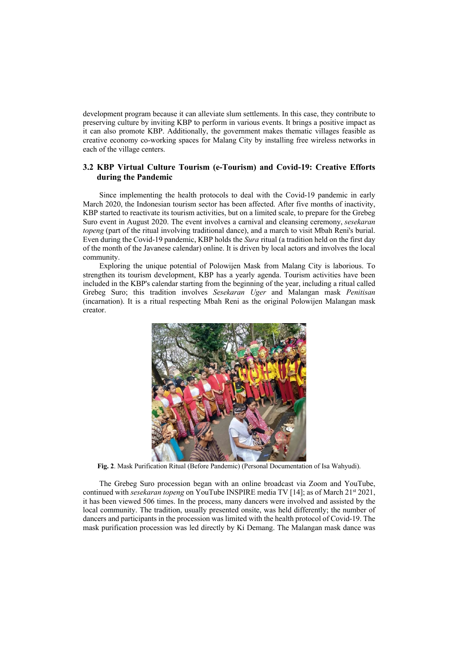development program because it can alleviate slum settlements. In this case, they contribute to preserving culture by inviting KBP to perform in various events. It brings a positive impact as it can also promote KBP. Additionally, the government makes thematic villages feasible as creative economy co-working spaces for Malang City by installing free wireless networks in each of the village centers.

## **3.2 KBP Virtual Culture Tourism (e-Tourism) and Covid-19: Creative Efforts during the Pandemic**

Since implementing the health protocols to deal with the Covid-19 pandemic in early March 2020, the Indonesian tourism sector has been affected. After five months of inactivity, KBP started to reactivate its tourism activities, but on a limited scale, to prepare for the Grebeg Suro event in August 2020. The event involves a carnival and cleansing ceremony, *sesekaran topeng* (part of the ritual involving traditional dance), and a march to visit Mbah Reni's burial. Even during the Covid-19 pandemic, KBP holds the *Sura* ritual (a tradition held on the first day of the month of the Javanese calendar) online. It is driven by local actors and involves the local community.

Exploring the unique potential of Polowijen Mask from Malang City is laborious. To strengthen its tourism development, KBP has a yearly agenda. Tourism activities have been included in the KBP's calendar starting from the beginning of the year, including a ritual called Grebeg Suro; this tradition involves *Sesekaran Uger* and Malangan mask *Penitisan* (incarnation). It is a ritual respecting Mbah Reni as the original Polowijen Malangan mask creator.



**Fig. 2**. Mask Purification Ritual (Before Pandemic) (Personal Documentation of Isa Wahyudi).

The Grebeg Suro procession began with an online broadcast via Zoom and YouTube, continued with *sesekaran topeng* on YouTube INSPIRE media TV [14]; as of March 21<sup>st</sup> 2021, it has been viewed 506 times. In the process, many dancers were involved and assisted by the local community. The tradition, usually presented onsite, was held differently; the number of dancers and participants in the procession was limited with the health protocol of Covid-19. The mask purification procession was led directly by Ki Demang. The Malangan mask dance was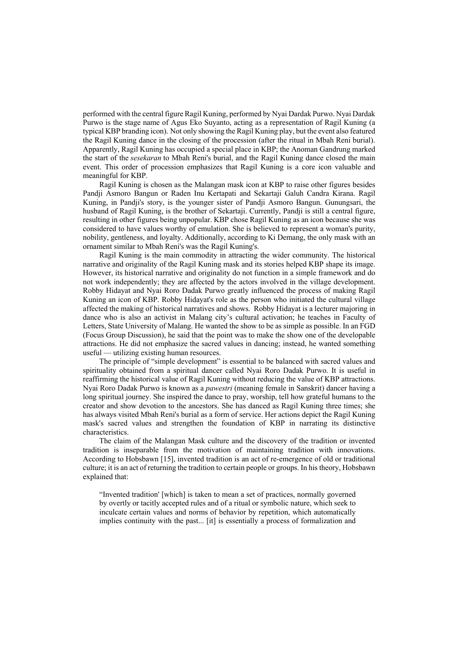performed with the central figure Ragil Kuning, performed by Nyai Dardak Purwo. Nyai Dardak Purwo is the stage name of Agus Eko Suyanto, acting as a representation of Ragil Kuning (a typical KBP branding icon). Not only showing the Ragil Kuning play, but the event also featured the Ragil Kuning dance in the closing of the procession (after the ritual in Mbah Reni burial). Apparently, Ragil Kuning has occupied a special place in KBP; the Anoman Gandrung marked the start of the *sesekaran* to Mbah Reni's burial, and the Ragil Kuning dance closed the main event. This order of procession emphasizes that Ragil Kuning is a core icon valuable and meaningful for KBP.

Ragil Kuning is chosen as the Malangan mask icon at KBP to raise other figures besides Pandji Asmoro Bangun or Raden Inu Kertapati and Sekartaji Galuh Candra Kirana. Ragil Kuning, in Pandji's story, is the younger sister of Pandji Asmoro Bangun. Gunungsari, the husband of Ragil Kuning, is the brother of Sekartaji. Currently, Pandji is still a central figure, resulting in other figures being unpopular. KBP chose Ragil Kuning as an icon because she was considered to have values worthy of emulation. She is believed to represent a woman's purity, nobility, gentleness, and loyalty. Additionally, according to Ki Demang, the only mask with an ornament similar to Mbah Reni's was the Ragil Kuning's.

Ragil Kuning is the main commodity in attracting the wider community. The historical narrative and originality of the Ragil Kuning mask and its stories helped KBP shape its image. However, its historical narrative and originality do not function in a simple framework and do not work independently; they are affected by the actors involved in the village development. Robby Hidayat and Nyai Roro Dadak Purwo greatly influenced the process of making Ragil Kuning an icon of KBP. Robby Hidayat's role as the person who initiated the cultural village affected the making of historical narratives and shows. Robby Hidayat is a lecturer majoring in dance who is also an activist in Malang city's cultural activation; he teaches in Faculty of Letters, State University of Malang. He wanted the show to be as simple as possible. In an FGD (Focus Group Discussion), he said that the point was to make the show one of the developable attractions. He did not emphasize the sacred values in dancing; instead, he wanted something useful — utilizing existing human resources.

The principle of "simple development" is essential to be balanced with sacred values and spirituality obtained from a spiritual dancer called Nyai Roro Dadak Purwo. It is useful in reaffirming the historical value of Ragil Kuning without reducing the value of KBP attractions. Nyai Roro Dadak Purwo is known as a *pawestri* (meaning female in Sanskrit) dancer having a long spiritual journey. She inspired the dance to pray, worship, tell how grateful humans to the creator and show devotion to the ancestors. She has danced as Ragil Kuning three times; she has always visited Mbah Reni's burial as a form of service. Her actions depict the Ragil Kuning mask's sacred values and strengthen the foundation of KBP in narrating its distinctive characteristics.

The claim of the Malangan Mask culture and the discovery of the tradition or invented tradition is inseparable from the motivation of maintaining tradition with innovations. According to Hobsbawn [15], invented tradition is an act of re-emergence of old or traditional culture; it is an act of returning the tradition to certain people or groups. In his theory, Hobsbawn explained that:

"Invented tradition' [which] is taken to mean a set of practices, normally governed by overtly or tacitly accepted rules and of a ritual or symbolic nature, which seek to inculcate certain values and norms of behavior by repetition, which automatically implies continuity with the past... [it] is essentially a process of formalization and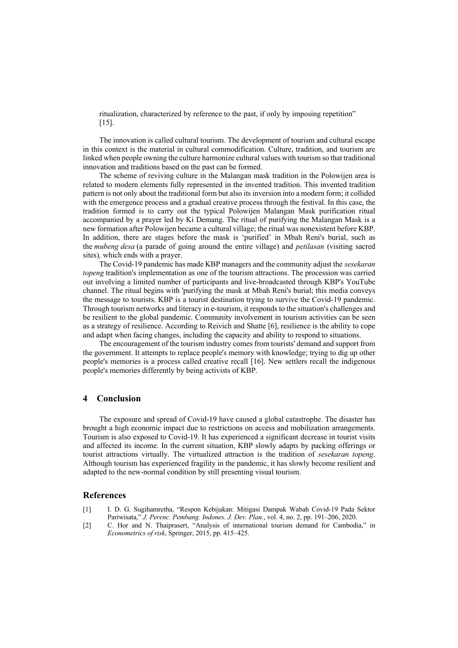ritualization, characterized by reference to the past, if only by imposing repetition"  $[15]$ .

The innovation is called cultural tourism. The development of tourism and cultural escape in this context is the material in cultural commodification. Culture, tradition, and tourism are linked when people owning the culture harmonize cultural values with tourism so that traditional innovation and traditions based on the past can be formed.

The scheme of reviving culture in the Malangan mask tradition in the Polowijen area is related to modern elements fully represented in the invented tradition. This invented tradition pattern is not only about the traditional form but also its inversion into a modern form; it collided with the emergence process and a gradual creative process through the festival. In this case, the tradition formed is to carry out the typical Polowijen Malangan Mask purification ritual accompanied by a prayer led by Ki Demang. The ritual of purifying the Malangan Mask is a new formation after Polowijen became a cultural village; the ritual was nonexistent before KBP. In addition, there are stages before the mask is 'purified' in Mbah Reni's burial, such as the *mubeng desa* (a parade of going around the entire village) and *petilasan* (visiting sacred sites)*,* which ends with a prayer.

The Covid-19 pandemic has made KBP managers and the community adjust the *sesekaran topeng* tradition's implementation as one of the tourism attractions. The procession was carried out involving a limited number of participants and live-broadcasted through KBP's YouTube channel. The ritual begins with 'purifying the mask at Mbah Reni's burial; this media conveys the message to tourists. KBP is a tourist destination trying to survive the Covid-19 pandemic. Through tourism networks and literacy in e-tourism, it responds to the situation's challenges and be resilient to the global pandemic. Community involvement in tourism activities can be seen as a strategy of resilience. According to Reivich and Shatte [6], resilience is the ability to cope and adapt when facing changes, including the capacity and ability to respond to situations.

The encouragement of the tourism industry comes from tourists' demand and support from the government. It attempts to replace people's memory with knowledge; trying to dig up other people's memories is a process called creative recall [16]. New settlers recall the indigenous people's memories differently by being activists of KBP.

#### **4 Conclusion**

The exposure and spread of Covid-19 have caused a global catastrophe. The disaster has brought a high economic impact due to restrictions on access and mobilization arrangements. Tourism is also exposed to Covid-19. It has experienced a significant decrease in tourist visits and affected its income. In the current situation, KBP slowly adapts by packing offerings or tourist attractions virtually. The virtualized attraction is the tradition of *sesekaran topeng*. Although tourism has experienced fragility in the pandemic, it has slowly become resilient and adapted to the new-normal condition by still presenting visual tourism.

#### **References**

- [1] I. D. G. Sugihamretha, "Respon Kebijakan: Mitigasi Dampak Wabah Covid-19 Pada Sektor Pariwisata," *J. Perenc. Pembang. Indones. J. Dev. Plan.*, vol. 4, no. 2, pp. 191–206, 2020.
- [2] C. Hor and N. Thaiprasert, "Analysis of international tourism demand for Cambodia," in *Econometrics of risk*, Springer, 2015, pp. 415–425.